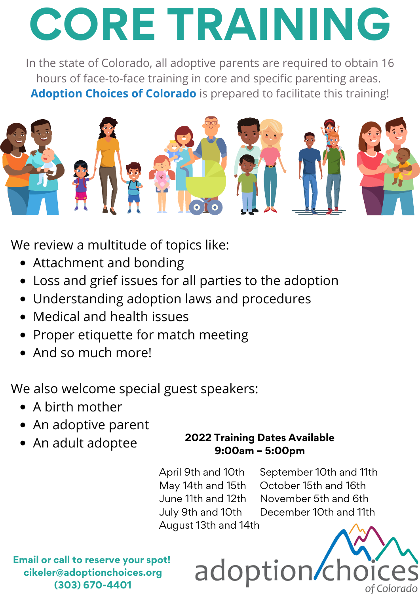# **CORE TRAINING**

In the state of Colorado, all adoptive parents are required to obtain 16 hours of face-to-face training in core and specific parenting areas. **Adoption Choices of Colorado** is prepared to facilitate this training!



We review a multitude of topics like:

- Attachment and bonding
- Loss and grief issues for all parties to the adoption
- Understanding adoption laws and procedures
- Medical and health issues
- Proper etiquette for match meeting
- And so much more!

We also welcome special guest speakers:

- A birth mother
- An adoptive parent
- An adult adoptee

#### **2022 Training Dates Available 9:00am – 5:00pm**

adoption

April 9th and 10th May 14th and 15th June 11th and 12th July 9th and 10th August 13th and 14th

September 10th and 11th October 15th and 16th November 5th and 6th December 10th and 11th

of Colorado

**Email or call to reserve your spot! cikeler@adoptionchoices.org (303) 670-4401**